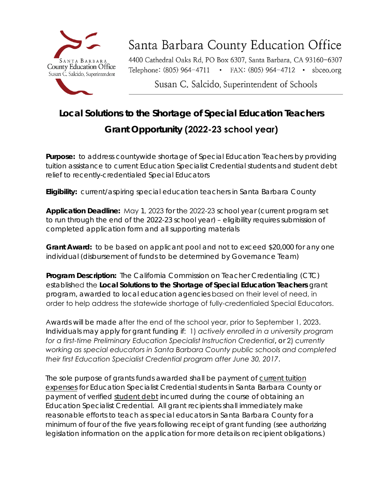

## Santa Barbara County Education Office

4400 Cathedral Oaks Rd, PO Box 6307, Santa Barbara, CA 93160-6307 Telephone: (805) 964-4711 • FAX: (805) 964-4712 • sbceo.org

Susan C. Salcido, Superintendent of Schools

### **Local Solutions to the Shortage of Special Education Teachers**

### **Grant Opportunity (2022-23 school year)**

 **Purpose:** to address countywide shortage of Special Education Teachers by providing tuition assistance to current Education Specialist Credential students and student debt relief to recently-credentialed Special Educators

**Eligibility:** current/aspiring special education teachers in Santa Barbara County

**Application Deadline:** May 1, 2023 for the 2022-23 school year (current program set to run through the end of the 2022-23 school year) – eligibility requires submission of completed application form and all supporting materials

**Grant Award:** to be based on applicant pool and not to exceed \$20,000 for any one individual (disbursement of funds to be determined by Governance Team)

**Program Description:** The California Commission on Teacher Credentialing (CTC) established the **Local Solutions to the Shortage of Special Education Teachers** grant program, awarded to local education agencies based on their level of need, in order to help address the statewide shortage of fully-credentialed Special Educators.

 *for a first-time Preliminary Education Specialist Instruction Credential*, or 2) *currently working as special educators in Santa Barbara County public schools and completed their first Education Specialist Credential program after June 30, 2017*. Awards will be made after the end of the school year, prior to September 1, 2023. Individuals may apply for grant funding if: 1) *actively enrolled in a university program*

The sole purpose of grants funds awarded shall be payment of current tuition expenses for Education Specialist Credential students in Santa Barbara County or payment of verified student debt incurred during the course of obtaining an Education Specialist Credential. All grant recipients shall immediately make reasonable efforts to teach as special educators in Santa Barbara County for a minimum of four of the five years following receipt of grant funding (see authorizing legislation information on the application for more details on recipient obligations.)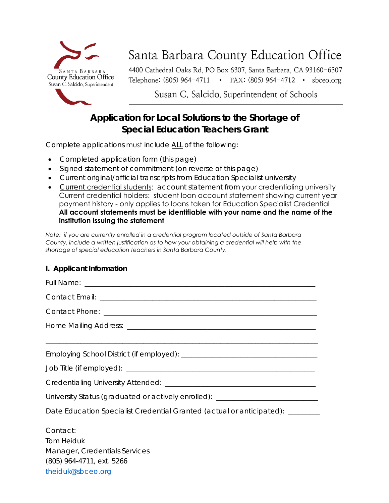

# Santa Barbara County Education Office

4400 Cathedral Oaks Rd, PO Box 6307, Santa Barbara, CA 93160-6307 Telephone: (805) 964-4711 • FAX: (805) 964-4712 • sbceo.org

Susan C. Salcido, Superintendent of Schools

### **Application for Local Solutions to the Shortage of Special Education Teachers Grant**

Complete applications must include ALL of the following:

- Completed application form (this page)
- Signed statement of commitment (on reverse of this page)
- Current original/official transcripts from Education Specialist university
- Current credential students: account statement from your credentialing university Current credential holders: student loan account statement showing current year payment history - only applies to loans taken for Education Specialist Credential **All account statements must be identifiable with your name and the name of the institution issuing the statement**

*Note: if you are currently enrolled in a credential program located outside of Santa Barbara County, include a written justification as to how your obtaining a credential will help with the shortage of special education teachers in Santa Barbara County.*

### **I. Applicant Information**

| ,我们也不会有什么。""我们的人,我们也不会有什么?""我们的人,我们也不会有什么?""我们的人,我们也不会有什么?""我们的人,我们也不会有什么?""我们的人 |  |
|----------------------------------------------------------------------------------|--|
|                                                                                  |  |
|                                                                                  |  |
|                                                                                  |  |
| University Status (graduated or actively enrolled): ____________________________ |  |
| Date Education Specialist Credential Granted (actual or anticipated): ________   |  |
| Contact:                                                                         |  |
| <b>Tom Heiduk</b>                                                                |  |
| Manager, Credentials Services                                                    |  |
| (805) 964-4711, ext. 5266                                                        |  |
| theiduk@sbceo.org                                                                |  |